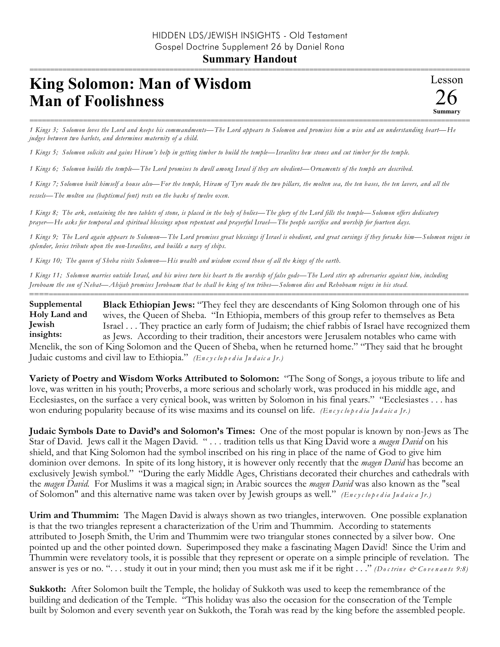## **Summary Handout**

## =========================================================================================================== **King Solomon: Man of Wisdom Man of Foolishness**

=========================================================================================================== *1 Kings 3; Solomon loves the Lord and keeps his commandments—The Lord appears to Solomon and promises him a wise and an understanding heart—He judges between two harlots, and determines maternity of a child.*

*1 Kings 5; Solomon solicits and gains Hiram's help in getting timber to build the temple—Israelites hew stones and cut timber for the temple.*

*1 Kings 6; Solomon builds the temple—The Lord promises to dwell among Israel if they are obedient—Ornaments of the temple are described.*

*1 Kings 7; Solomon built himself a house also—For the temple, Hiram of Tyre made the two pillars, the molten sea, the ten bases, the ten lavers, and all the vessels—The molten sea (baptismal font) rests on the backs of twelve oxen.*

*1 Kings 8; The ark, containing the two tablets of stone, is placed in the holy of holies—The glory of the Lord fills the temple—Solomon offers dedicatory prayer—He asks for temporal and spiritual blessings upon repentant and prayerful Israel—The people sacrifice and worship for fourteen days.*

*1 Kings 9; The Lord again appears to Solomon—The Lord promises great blessings if Israel is obedient, and great cursings if they forsake him—Solomon reigns in splendor, levies tribute upon the non-Israelites, and builds a navy of ships.*

*1 Kings 10; The queen of Sheba visits Solomon—His wealth and wisdom exceed those of all the kings of the earth.*

*1 Kings 11; Solomon marries outside Israel, and his wives turn his heart to the worship of false gods—The Lord stirs up adversaries against him, including Jeroboam the son of Nebat—Ahijah promises Jeroboam that he shall be king of ten tribes—Solomon dies and Rehoboam reigns in his stead.*

**Black Ethiopian Jews:** "They feel they are descendants of King Solomon through one of his wives, the Queen of Sheba. "In Ethiopia, members of this group refer to themselves as Beta Israel . . . They practice an early form of Judaism; the chief rabbis of Israel have recognized them as Jews. According to their tradition, their ancestors were Jerusalem notables who came with Menelik, the son of King Solomon and the Queen of Sheba, when he returned home." "They said that he brought **Supplemental Holy Land and Jewish insights:**

==========================================================================================================

Judaic customs and civil law to Ethiopia." *(En c y c lo p e d ia Ju d a ic a Jr.)*

**Variety of Poetry and Wisdom Works Attributed to Solomon:** "The Song of Songs, a joyous tribute to life and love, was written in his youth; Proverbs, a more serious and scholarly work, was produced in his middle age, and Ecclesiastes, on the surface a very cynical book, was written by Solomon in his final years." "Ecclesiastes . . . has won enduring popularity because of its wise maxims and its counsel on life. *(En c y c lo p e d ia Ju d a ic a Jr.)*

**Judaic Symbols Date to David's and Solomon's Times:** One of the most popular is known by non-Jews as The Star of David. Jews call it the Magen David. " . . . tradition tells us that King David wore a *magen David* on his shield, and that King Solomon had the symbol inscribed on his ring in place of the name of God to give him dominion over demons. In spite of its long history, it is however only recently that the *magen David* has become an exclusively Jewish symbol." "During the early Middle Ages, Christians decorated their churches and cathedrals with the *magen David.* For Muslims it was a magical sign; in Arabic sources the *magen David* was also known as the "seal of Solomon" and this alternative name was taken over by Jewish groups as well." *(En c y c lo p e d ia Ju d a ic a Jr.)*

**Urim and Thummim:** The Magen David is always shown as two triangles, interwoven. One possible explanation is that the two triangles represent a characterization of the Urim and Thummim. According to statements attributed to Joseph Smith, the Urim and Thummim were two triangular stones connected by a silver bow. One pointed up and the other pointed down. Superimposed they make a fascinating Magen David! Since the Urim and Thummin were revelatory tools, it is possible that they represent or operate on a simple principle of revelation. The answer is yes or no. ". . . study it out in your mind; then you must ask me if it be right . . ." *(Do c trin e & Co ve n a n ts 9:8)*

**Sukkoth:** After Solomon built the Temple, the holiday of Sukkoth was used to keep the remembrance of the building and dedication of the Temple. "This holiday was also the occasion for the consecration of the Temple built by Solomon and every seventh year on Sukkoth, the Torah was read by the king before the assembled people.